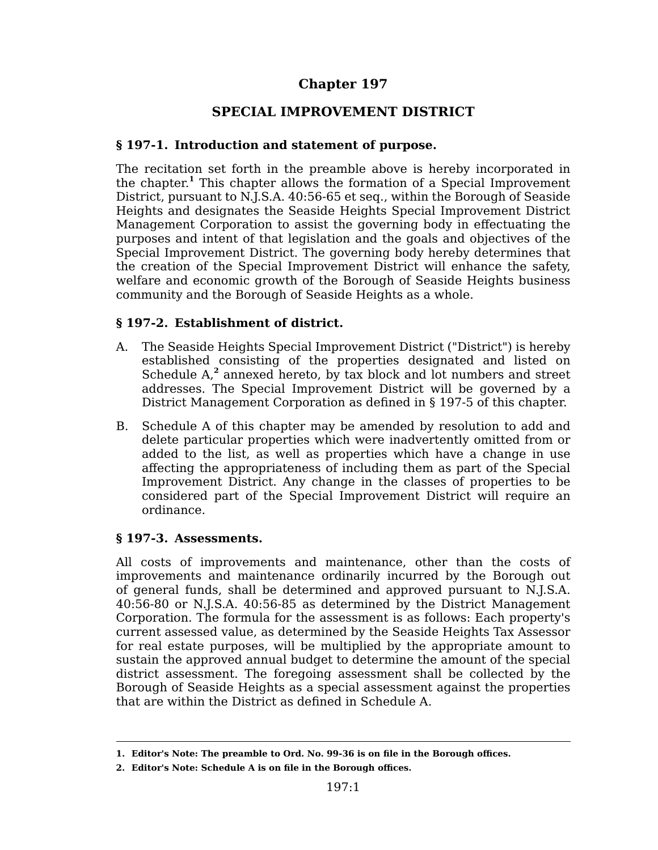# **Chapter 197**

# **SPECIAL IMPROVEMENT DISTRICT**

# **§ 197-1. Introduction and statement of purpose.**

The recitation set forth in the preamble above is hereby incorporated in the chapter. **<sup>1</sup>** This chapter allows the formation of a Special Improvement District, pursuant to N.J.S.A. 40:56-65 et seq., within the Borough of Seaside Heights and designates the Seaside Heights Special Improvement District Management Corporation to assist the governing body in effectuating the purposes and intent of that legislation and the goals and objectives of the Special Improvement District. The governing body hereby determines that the creation of the Special Improvement District will enhance the safety, welfare and economic growth of the Borough of Seaside Heights business community and the Borough of Seaside Heights as a whole.

# **§ 197-2. Establishment of district.**

- A. The Seaside Heights Special Improvement District ("District") is hereby established consisting of the properties designated and listed on Schedule A<sub>,</sub><sup>2</sup> annexed hereto, by tax block and lot numbers and street addresses. The Special Improvement District will be governed by a District Management Corporation as defined in § 197-5 of this chapter.
- B. Schedule A of this chapter may be amended by resolution to add and delete particular properties which were inadvertently omitted from or added to the list, as well as properties which have a change in use affecting the appropriateness of including them as part of the Special Improvement District. Any change in the classes of properties to be considered part of the Special Improvement District will require an ordinance.

### **§ 197-3. Assessments.**

All costs of improvements and maintenance, other than the costs of improvements and maintenance ordinarily incurred by the Borough out of general funds, shall be determined and approved pursuant to N.J.S.A. 40:56-80 or N.J.S.A. 40:56-85 as determined by the District Management Corporation. The formula for the assessment is as follows: Each property's current assessed value, as determined by the Seaside Heights Tax Assessor for real estate purposes, will be multiplied by the appropriate amount to sustain the approved annual budget to determine the amount of the special district assessment. The foregoing assessment shall be collected by the Borough of Seaside Heights as a special assessment against the properties that are within the District as defined in Schedule A.

**<sup>1.</sup> Editor's Note: The preamble to Ord. No. 99-36 is on file in the Borough offices.**

**<sup>2.</sup> Editor's Note: Schedule A is on file in the Borough offices.**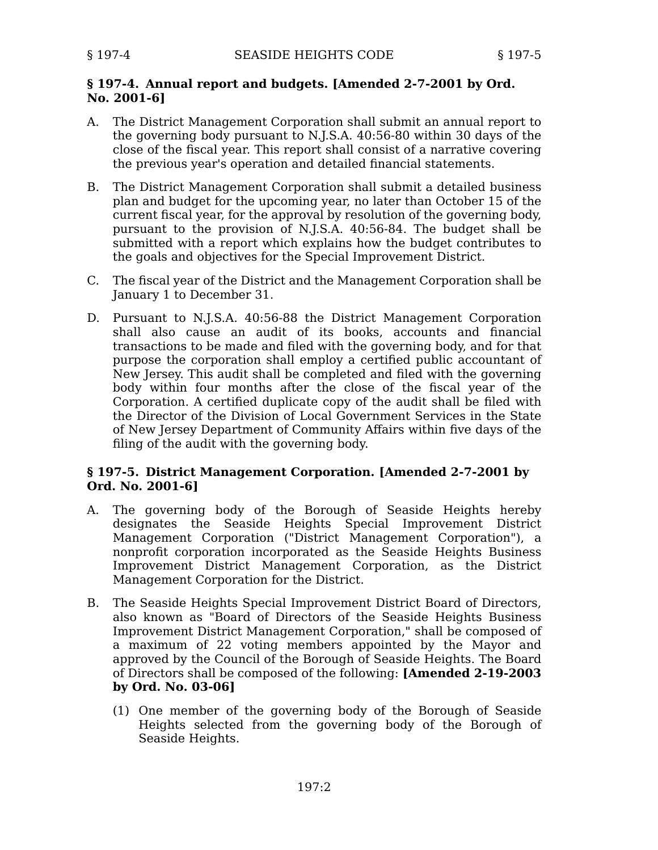# **§ 197-4. Annual report and budgets. [Amended 2-7-2001 by Ord. No. 2001-6]**

- A. The District Management Corporation shall submit an annual report to the governing body pursuant to N.J.S.A. 40:56-80 within 30 days of the close of the fiscal year. This report shall consist of a narrative covering the previous year's operation and detailed financial statements.
- B. The District Management Corporation shall submit a detailed business plan and budget for the upcoming year, no later than October 15 of the current fiscal year, for the approval by resolution of the governing body, pursuant to the provision of N.J.S.A. 40:56-84. The budget shall be submitted with a report which explains how the budget contributes to the goals and objectives for the Special Improvement District.
- C. The fiscal year of the District and the Management Corporation shall be January 1 to December 31.
- D. Pursuant to N.J.S.A. 40:56-88 the District Management Corporation shall also cause an audit of its books, accounts and financial transactions to be made and filed with the governing body, and for that purpose the corporation shall employ a certified public accountant of New Jersey. This audit shall be completed and filed with the governing body within four months after the close of the fiscal year of the Corporation. A certified duplicate copy of the audit shall be filed with the Director of the Division of Local Government Services in the State of New Jersey Department of Community Affairs within five days of the filing of the audit with the governing body.

# **§ 197-5. District Management Corporation. [Amended 2-7-2001 by Ord. No. 2001-6]**

- A. The governing body of the Borough of Seaside Heights hereby designates the Seaside Heights Special Improvement District Management Corporation ("District Management Corporation"), a nonprofit corporation incorporated as the Seaside Heights Business Improvement District Management Corporation, as the District Management Corporation for the District.
- B. The Seaside Heights Special Improvement District Board of Directors, also known as "Board of Directors of the Seaside Heights Business Improvement District Management Corporation," shall be composed of a maximum of 22 voting members appointed by the Mayor and approved by the Council of the Borough of Seaside Heights. The Board of Directors shall be composed of the following: **[Amended 2-19-2003 by Ord. No. 03-06]**
	- (1) One member of the governing body of the Borough of Seaside Heights selected from the governing body of the Borough of Seaside Heights.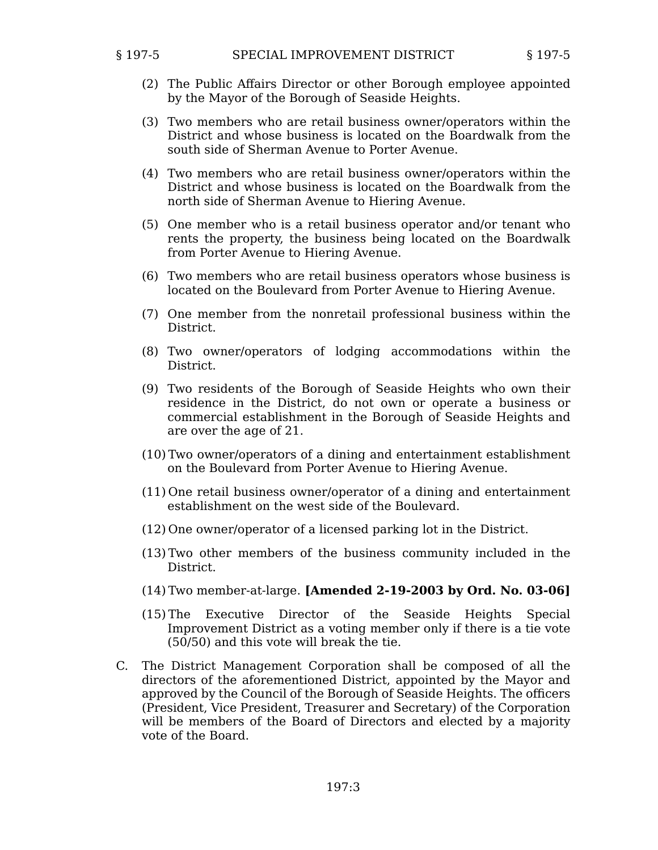- (2) The Public Affairs Director or other Borough employee appointed by the Mayor of the Borough of Seaside Heights.
- (3) Two members who are retail business owner/operators within the District and whose business is located on the Boardwalk from the south side of Sherman Avenue to Porter Avenue.
- (4) Two members who are retail business owner/operators within the District and whose business is located on the Boardwalk from the north side of Sherman Avenue to Hiering Avenue.
- (5) One member who is a retail business operator and/or tenant who rents the property, the business being located on the Boardwalk from Porter Avenue to Hiering Avenue.
- (6) Two members who are retail business operators whose business is located on the Boulevard from Porter Avenue to Hiering Avenue.
- (7) One member from the nonretail professional business within the District.
- (8) Two owner/operators of lodging accommodations within the District.
- (9) Two residents of the Borough of Seaside Heights who own their residence in the District, do not own or operate a business or commercial establishment in the Borough of Seaside Heights and are over the age of 21.
- (10) Two owner/operators of a dining and entertainment establishment on the Boulevard from Porter Avenue to Hiering Avenue.
- (11) One retail business owner/operator of a dining and entertainment establishment on the west side of the Boulevard.
- (12) One owner/operator of a licensed parking lot in the District.
- (13) Two other members of the business community included in the District.
- (14) Two member-at-large. **[Amended 2-19-2003 by Ord. No. 03-06]**
- (15) The Executive Director of the Seaside Heights Special Improvement District as a voting member only if there is a tie vote (50/50) and this vote will break the tie.
- C. The District Management Corporation shall be composed of all the directors of the aforementioned District, appointed by the Mayor and approved by the Council of the Borough of Seaside Heights. The officers (President, Vice President, Treasurer and Secretary) of the Corporation will be members of the Board of Directors and elected by a majority vote of the Board.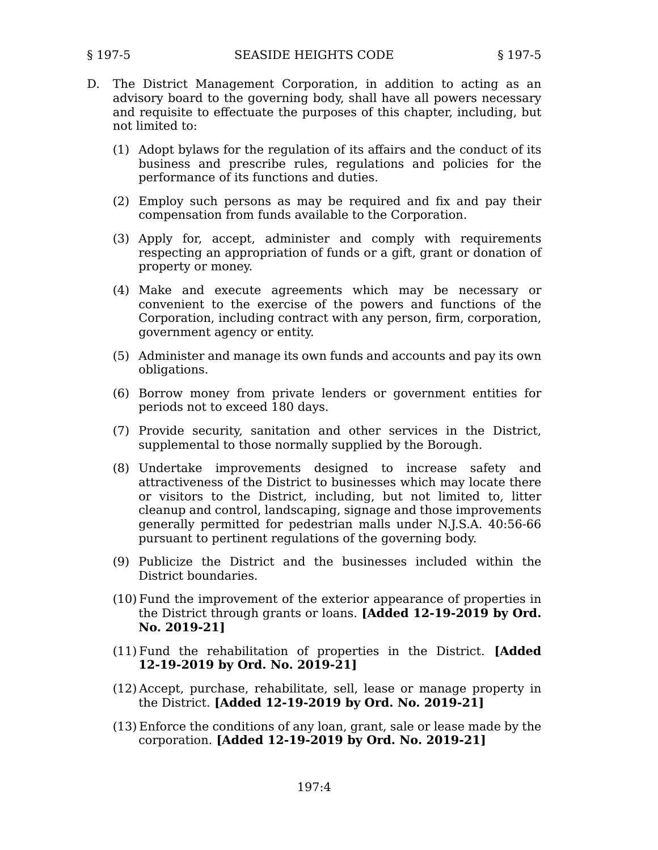- D. The District Management Corporation, in addition to acting as an advisory board to the governing body, shall have all powers necessary and requisite to effectuate the purposes of this chapter, including, but not limited to:
	- (1) Adopt bylaws for the regulation of its affairs and the conduct of its business and prescribe rules, regulations and policies for the performance of its functions and duties.
	- (2) Employ such persons as may be required and fix and pay their compensation from funds available to the Corporation.
	- (3) Apply for, accept, administer and comply with requirements respecting an appropriation of funds or a gift, grant or donation of property or money.
	- (4) Make and execute agreements which may be necessary or convenient to the exercise of the powers and functions of the Corporation, including contract with any person, firm, corporation, government agency or entity.
	- (5) Administer and manage its own funds and accounts and pay its own obligations.
	- (6) Borrow money from private lenders or government entities for periods not to exceed 180 days.
	- (7) Provide security, sanitation and other services in the District, supplemental to those normally supplied by the Borough.
	- (8) Undertake improvements designed to increase safety and attractiveness of the District to businesses which may locate there or visitors to the District, including, but not limited to, litter cleanup and control, landscaping, signage and those improvements generally permitted for pedestrian malls under N.J.S.A. 40:56-66 pursuant to pertinent regulations of the governing body.
	- (9) Publicize the District and the businesses included within the District boundaries.
	- (10) Fund the improvement of the exterior appearance of properties in the District through grants or loans. **[Added 12-19-2019 by Ord. No. 2019-21]**
	- (11) Fund the rehabilitation of properties in the District. **[Added 12-19-2019 by Ord. No. 2019-21]**
	- (12) Accept, purchase, rehabilitate, sell, lease or manage property in the District. **[Added 12-19-2019 by Ord. No. 2019-21]**
	- (13) Enforce the conditions of any loan, grant, sale or lease made by the corporation. **[Added 12-19-2019 by Ord. No. 2019-21]**